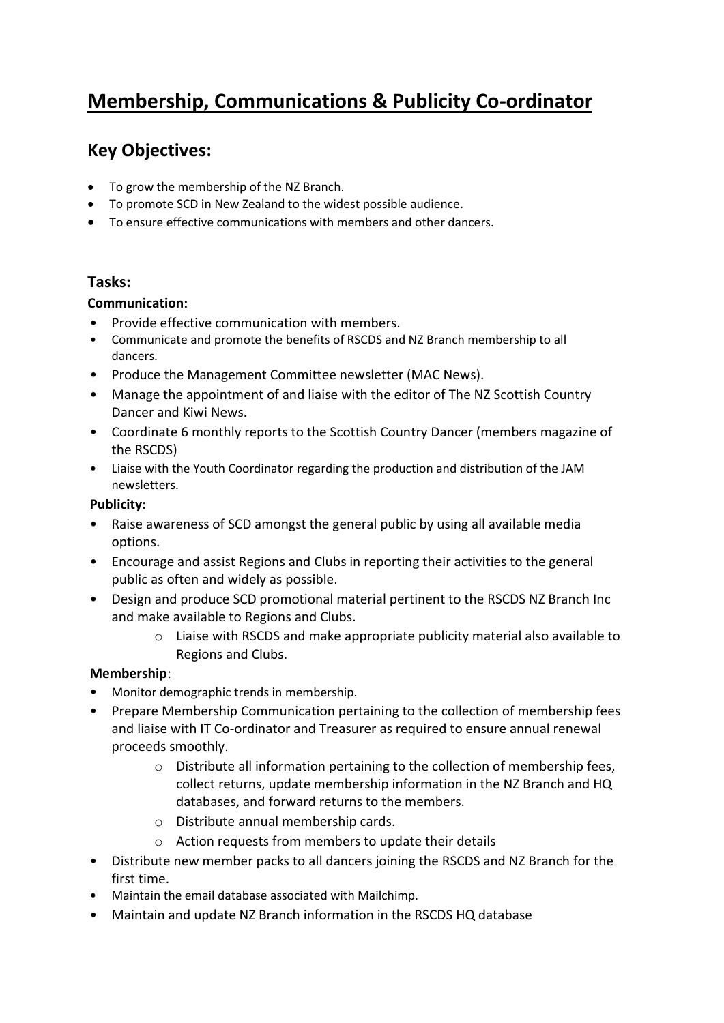# **Membership, Communications & Publicity Co-ordinator**

# **Key Objectives:**

- To grow the membership of the NZ Branch.
- To promote SCD in New Zealand to the widest possible audience.
- To ensure effective communications with members and other dancers.

# **Tasks:**

#### **Communication:**

- Provide effective communication with members.
- Communicate and promote the benefits of RSCDS and NZ Branch membership to all dancers.
- Produce the Management Committee newsletter (MAC News).
- Manage the appointment of and liaise with the editor of The NZ Scottish Country Dancer and Kiwi News.
- Coordinate 6 monthly reports to the Scottish Country Dancer (members magazine of the RSCDS)
- Liaise with the Youth Coordinator regarding the production and distribution of the JAM newsletters.

#### **Publicity:**

- Raise awareness of SCD amongst the general public by using all available media options.
- Encourage and assist Regions and Clubs in reporting their activities to the general public as often and widely as possible.
- Design and produce SCD promotional material pertinent to the RSCDS NZ Branch Inc and make available to Regions and Clubs.
	- $\circ$  Liaise with RSCDS and make appropriate publicity material also available to Regions and Clubs.

# **Membership**:

- Monitor demographic trends in membership.
- Prepare Membership Communication pertaining to the collection of membership fees and liaise with IT Co-ordinator and Treasurer as required to ensure annual renewal proceeds smoothly.
	- o Distribute all information pertaining to the collection of membership fees, collect returns, update membership information in the NZ Branch and HQ databases, and forward returns to the members.
	- o Distribute annual membership cards.
	- o Action requests from members to update their details
- Distribute new member packs to all dancers joining the RSCDS and NZ Branch for the first time.
- Maintain the email database associated with Mailchimp.
- Maintain and update NZ Branch information in the RSCDS HQ database